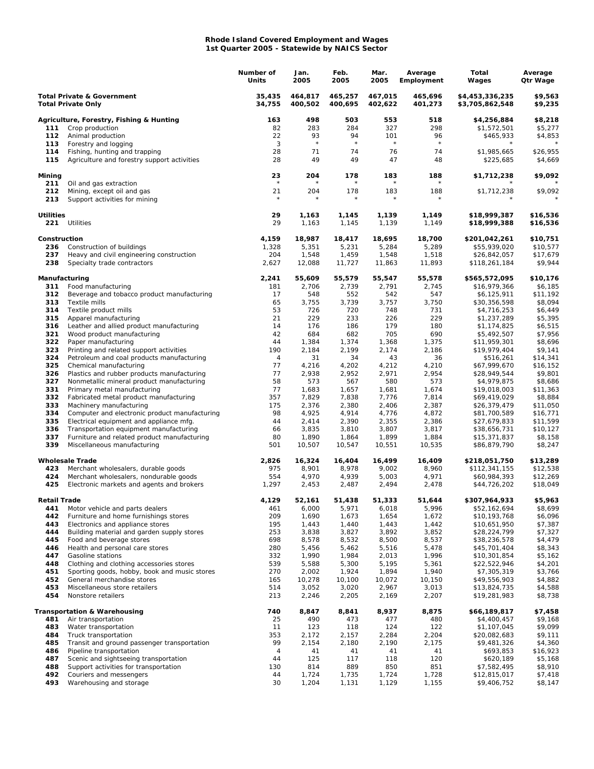## **Rhode Island Covered Employment and Wages 1st Quarter 2005 - Statewide by NAICS Sector**

|                                                                    |                                                                                     | Number of<br>Units | Jan.<br>2005       | Feb.<br>2005       | Mar.<br>2005       | Average<br>Employment | Total<br>Wages                     | Average<br>Qtr Wage  |
|--------------------------------------------------------------------|-------------------------------------------------------------------------------------|--------------------|--------------------|--------------------|--------------------|-----------------------|------------------------------------|----------------------|
| <b>Total Private &amp; Government</b><br><b>Total Private Only</b> |                                                                                     | 35,435<br>34,755   | 464,817<br>400,502 | 465,257<br>400,695 | 467,015<br>402,622 | 465,696<br>401,273    | \$4,453,336,235<br>\$3,705,862,548 | \$9,563<br>\$9,235   |
|                                                                    | Agriculture, Forestry, Fishing & Hunting                                            | 163                | 498                | 503                | 553                | 518                   | \$4,256,884                        | \$8,218              |
| 111                                                                | Crop production                                                                     | 82                 | 283                | 284                | 327                | 298                   | \$1,572,501                        | \$5,277              |
| 112                                                                | Animal production                                                                   | 22<br>3            | 93<br>$\star$      | 94<br>$\star$      | 101<br>$\star$     | 96<br>$\star$         | \$465,933                          | \$4,853              |
| 113<br>114                                                         | Forestry and logging<br>Fishing, hunting and trapping                               | 28                 | 71                 | 74                 | 76                 | 74                    | \$1,985,665                        | \$26,955             |
| 115                                                                | Agriculture and forestry support activities                                         | 28                 | 49                 | 49                 | 47                 | 48                    | \$225,685                          | \$4,669              |
| Mining<br>211                                                      | Oil and gas extraction                                                              | 23<br>$\star$      | 204                | 178                | 183                | 188                   | \$1,712,238                        | \$9,092              |
| 212                                                                | Mining, except oil and gas                                                          | 21                 | 204                | 178                | 183                | 188                   | \$1,712,238                        | \$9,092              |
| 213                                                                | Support activities for mining                                                       | $\star$            |                    |                    | $\star$            |                       |                                    |                      |
| <b>Utilities</b><br>221                                            | Utilities                                                                           | 29<br>29           | 1,163<br>1,163     | 1,145<br>1,145     | 1,139<br>1,139     | 1,149<br>1,149        | \$18,999,387<br>\$18,999,388       | \$16,536<br>\$16,536 |
| Construction                                                       |                                                                                     | 4,159              | 18,987             | 18,417             | 18,695             | 18,700                | \$201,042,261                      | \$10,751             |
| 236                                                                | Construction of buildings                                                           | 1,328              | 5,351              | 5,231              | 5,284              | 5,289                 | \$55,939,020                       | \$10,577             |
| 237                                                                | Heavy and civil engineering construction                                            | 204                | 1,548              | 1,459              | 1,548              | 1,518                 | \$26,842,057                       | \$17,679             |
| 238                                                                | Specialty trade contractors                                                         | 2,627              | 12,088             | 11,727             | 11,863             | 11,893                | \$118,261,184                      | \$9,944              |
| Manufacturing                                                      |                                                                                     | 2,241              | 55,609             | 55,579             | 55,547             | 55,578                | \$565,572,095                      | \$10,176             |
| 311<br>312                                                         | Food manufacturing<br>Beverage and tobacco product manufacturing                    | 181                | 2,706              | 2,739              | 2,791              | 2,745                 | \$16,979,366                       | \$6,185              |
| 313                                                                | Textile mills                                                                       | 17<br>65           | 548<br>3,755       | 552<br>3,739       | 542<br>3,757       | 547<br>3,750          | \$6,125,911<br>\$30,356,598        | \$11,192<br>\$8,094  |
| 314                                                                | Textile product mills                                                               | 53                 | 726                | 720                | 748                | 731                   | \$4,716,253                        | \$6,449              |
| 315                                                                | Apparel manufacturing                                                               | 21                 | 229                | 233                | 226                | 229                   | \$1,237,289                        | \$5,395              |
| 316                                                                | Leather and allied product manufacturing                                            | 14                 | 176                | 186                | 179                | 180                   | \$1,174,825                        | \$6,515              |
| 321                                                                | Wood product manufacturing                                                          | 42                 | 684                | 682                | 705                | 690                   | \$5,492,507                        | \$7,956              |
| 322<br>323                                                         | Paper manufacturing<br>Printing and related support activities                      | 44<br>190          | 1,384<br>2,184     | 1,374<br>2,199     | 1,368<br>2,174     | 1,375<br>2,186        | \$11,959,301                       | \$8,696<br>\$9,141   |
| 324                                                                | Petroleum and coal products manufacturing                                           | 4                  | 31                 | 34                 | 43                 | 36                    | \$19,979,404<br>\$516,261          | \$14,341             |
| 325                                                                | Chemical manufacturing                                                              | 77                 | 4,216              | 4,202              | 4,212              | 4,210                 | \$67,999,670                       | \$16,152             |
| 326                                                                | Plastics and rubber products manufacturing                                          | 77                 | 2,938              | 2,952              | 2,971              | 2,954                 | \$28,949,544                       | \$9,801              |
| 327                                                                | Nonmetallic mineral product manufacturing                                           | 58                 | 573                | 567                | 580                | 573                   | \$4,979,875                        | \$8,686              |
| 331                                                                | Primary metal manufacturing                                                         | 77                 | 1,683              | 1,657              | 1,681              | 1,674                 | \$19,018,003                       | \$11,363             |
| 332<br>333                                                         | Fabricated metal product manufacturing<br>Machinery manufacturing                   | 357<br>175         | 7,829<br>2,376     | 7,838<br>2,380     | 7,776<br>2,406     | 7,814<br>2,387        | \$69,419,029<br>\$26,379,479       | \$8,884<br>\$11,050  |
| 334                                                                | Computer and electronic product manufacturing                                       | 98                 | 4,925              | 4,914              | 4,776              | 4,872                 | \$81,700,589                       | \$16,771             |
| 335                                                                | Electrical equipment and appliance mfg.                                             | 44                 | 2,414              | 2,390              | 2,355              | 2,386                 | \$27,679,833                       | \$11,599             |
| 336                                                                | Transportation equipment manufacturing                                              | 66                 | 3,835              | 3,810              | 3,807              | 3,817                 | \$38,656,731                       | \$10,127             |
| 337                                                                | Furniture and related product manufacturing                                         | 80                 | 1,890              | 1,864              | 1,899              | 1,884                 | \$15,371,837                       | \$8,158              |
| 339                                                                | Miscellaneous manufacturing                                                         | 501                | 10,507             | 10,547             | 10,551             | 10,535                | \$86,879,790                       | \$8,247              |
|                                                                    | <b>Wholesale Trade</b>                                                              | 2,826              | 16,324             | 16,404             | 16,499             | 16,409                | \$218,051,750                      | \$13,289             |
| 423                                                                | Merchant wholesalers, durable goods                                                 | 975                | 8,901              | 8,978              | 9,002              | 8,960                 | \$112,341,155                      | \$12,538             |
| 424<br>425                                                         | Merchant wholesalers, nondurable goods<br>Electronic markets and agents and brokers | 554<br>1,297       | 4,970<br>2,453     | 4,939<br>2,487     | 5,003<br>2,494     | 4,971<br>2,478        | \$60,984,393<br>\$44,726,202       | \$12,269<br>\$18,049 |
| <b>Retail Trade</b>                                                |                                                                                     | 4,129              | 52,161             | 51,438             | 51,333             | 51,644                | \$307,964,933                      | \$5,963              |
| 441                                                                | Motor vehicle and parts dealers                                                     | 461                | 6,000              | 5,971              | 6,018              | 5,996                 | \$52,162,694                       | \$8,699              |
| 442                                                                | Furniture and home furnishings stores                                               | 209                | 1,690              | 1,673              | 1,654              | 1,672                 | \$10,193,768                       | \$6,096              |
| 443<br>444                                                         | Electronics and appliance stores<br>Building material and garden supply stores      | 195<br>253         | 1,443<br>3,838     | 1,440<br>3,827     | 1,443<br>3,892     | 1,442<br>3,852        | \$10,651,950<br>\$28,224,799       | \$7,387<br>\$7,327   |
| 445                                                                | Food and beverage stores                                                            | 698                | 8,578              | 8,532              | 8,500              | 8,537                 | \$38,236,578                       | \$4,479              |
| 446                                                                | Health and personal care stores                                                     | 280                | 5,456              | 5,462              | 5,516              | 5,478                 | \$45,701,404                       | \$8,343              |
| 447                                                                | Gasoline stations                                                                   | 332                | 1,990              | 1,984              | 2,013              | 1,996                 | \$10,301,854                       | \$5,162              |
| 448                                                                | Clothing and clothing accessories stores                                            | 539                | 5,588              | 5,300              | 5,195              | 5,361                 | \$22,522,946                       | \$4,201              |
| 451                                                                | Sporting goods, hobby, book and music stores                                        | 270                | 2,002              | 1,924              | 1,894              | 1,940                 | \$7,305,319<br>\$49,556,903        | \$3,766              |
| 452<br>453                                                         | General merchandise stores<br>Miscellaneous store retailers                         | 165<br>514         | 10,278<br>3,052    | 10,100<br>3,020    | 10,072<br>2,967    | 10,150<br>3,013       | \$13,824,735                       | \$4,882<br>\$4,588   |
| 454                                                                | Nonstore retailers                                                                  | 213                | 2,246              | 2,205              | 2,169              | 2,207                 | \$19,281,983                       | \$8,738              |
|                                                                    | <b>Transportation &amp; Warehousing</b>                                             | 740                | 8,847              | 8,841              | 8,937              | 8,875                 | \$66,189,817                       | \$7,458              |
| 481                                                                | Air transportation                                                                  | 25                 | 490                | 473                | 477                | 480                   | \$4,400,457                        | \$9,168              |
| 483<br>484                                                         | Water transportation<br>Truck transportation                                        | 11<br>353          | 123<br>2,172       | 118<br>2,157       | 124<br>2,284       | 122<br>2,204          | \$1,107,045<br>\$20,082,683        | \$9,099<br>\$9,111   |
| 485                                                                | Transit and ground passenger transportation                                         | 99                 | 2,154              | 2,180              | 2,190              | 2,175                 | \$9,481,326                        | \$4,360              |
| 486                                                                | Pipeline transportation                                                             | 4                  | 41                 | 41                 | 41                 | 41                    | \$693,853                          | \$16,923             |
| 487                                                                | Scenic and sightseeing transportation                                               | 44                 | 125                | 117                | 118                | 120                   | \$620,189                          | \$5,168              |
| 488                                                                | Support activities for transportation                                               | 130                | 814                | 889                | 850                | 851                   | \$7,582,495                        | \$8,910              |
| 492<br>493                                                         | Couriers and messengers<br>Warehousing and storage                                  | 44<br>30           | 1,724<br>1,204     | 1,735<br>1,131     | 1,724<br>1,129     | 1,728<br>1,155        | \$12,815,017<br>\$9,406,752        | \$7,418<br>\$8,147   |
|                                                                    |                                                                                     |                    |                    |                    |                    |                       |                                    |                      |